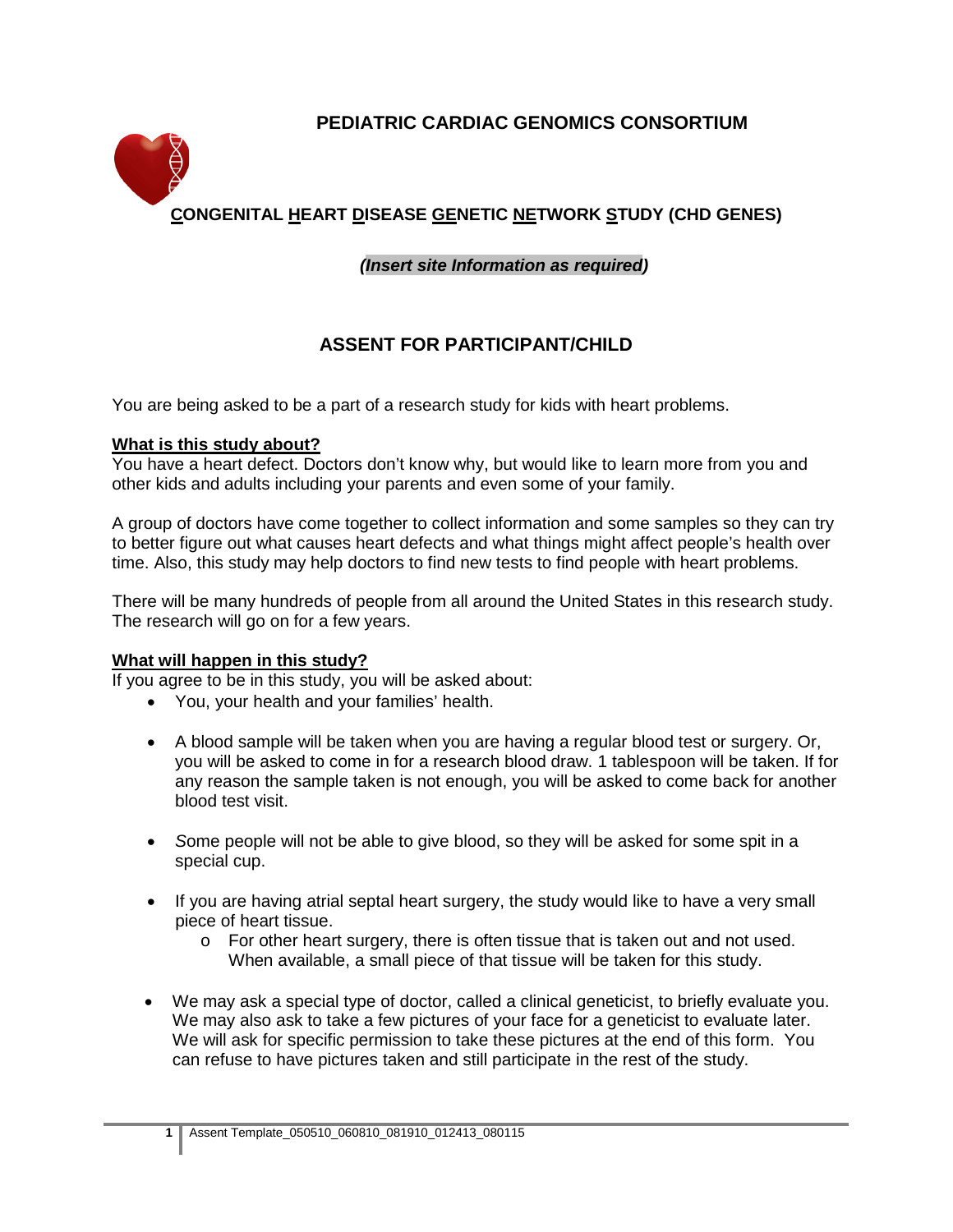# **PEDIATRIC CARDIAC GENOMICS CONSORTIUM**



# **CONGENITAL HEART DISEASE GENETIC NETWORK STUDY (CHD GENES)**

## *(Insert site Information as required)*

# **ASSENT FOR PARTICIPANT/CHILD**

You are being asked to be a part of a research study for kids with heart problems.

#### **What is this study about?**

You have a heart defect. Doctors don't know why, but would like to learn more from you and other kids and adults including your parents and even some of your family.

A group of doctors have come together to collect information and some samples so they can try to better figure out what causes heart defects and what things might affect people's health over time. Also, this study may help doctors to find new tests to find people with heart problems.

There will be many hundreds of people from all around the United States in this research study. The research will go on for a few years.

#### **What will happen in this study?**

If you agree to be in this study, you will be asked about:

- You, your health and your families' health.
- A blood sample will be taken when you are having a regular blood test or surgery. Or, you will be asked to come in for a research blood draw. 1 tablespoon will be taken. If for any reason the sample taken is not enough, you will be asked to come back for another blood test visit.
- *S*ome people will not be able to give blood, so they will be asked for some spit in a special cup.
- If you are having atrial septal heart surgery, the study would like to have a very small piece of heart tissue.
	- o For other heart surgery, there is often tissue that is taken out and not used. When available, a small piece of that tissue will be taken for this study.
- We may ask a special type of doctor, called a clinical geneticist, to briefly evaluate you. We may also ask to take a few pictures of your face for a geneticist to evaluate later. We will ask for specific permission to take these pictures at the end of this form. You can refuse to have pictures taken and still participate in the rest of the study.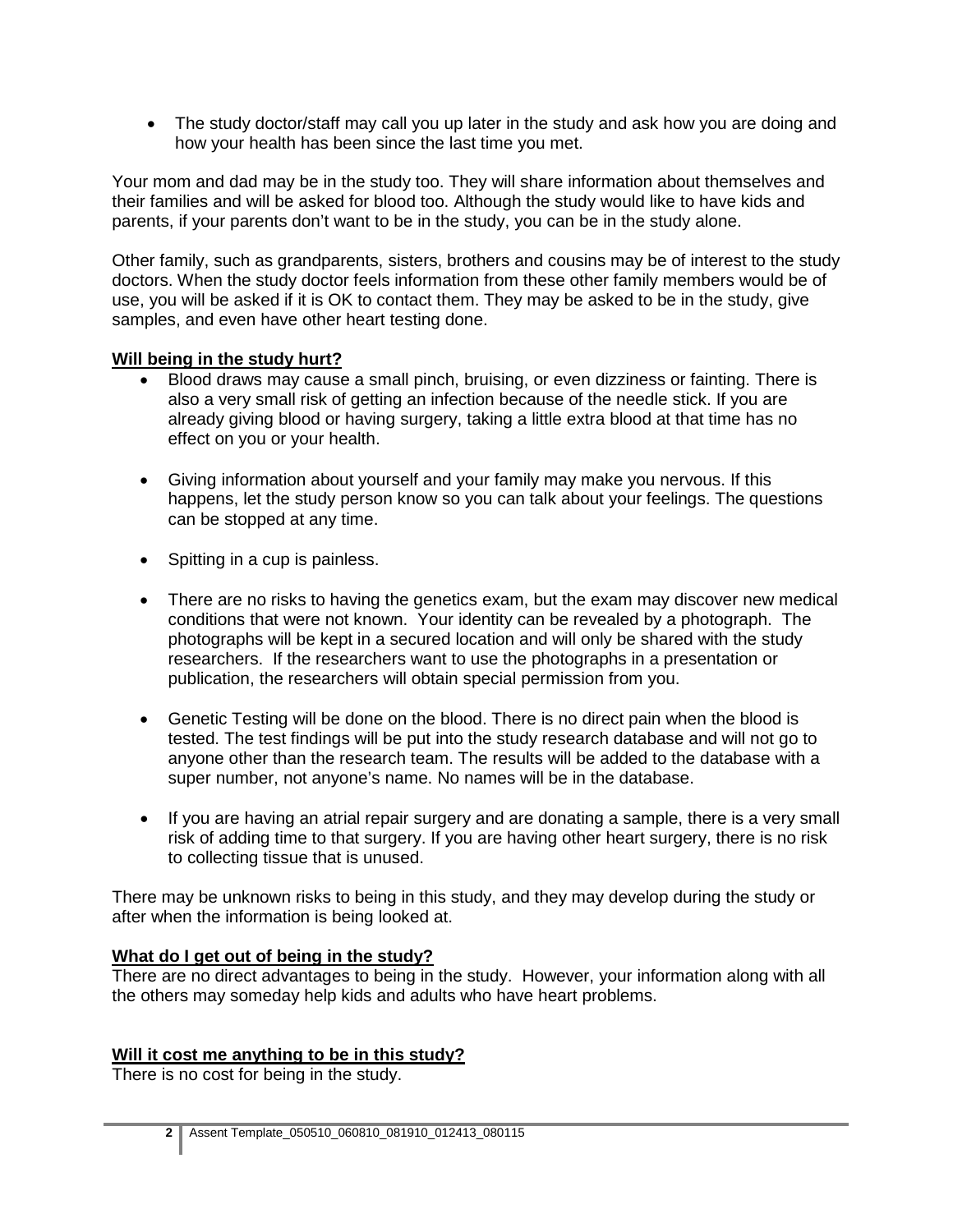• The study doctor/staff may call you up later in the study and ask how you are doing and how your health has been since the last time you met.

Your mom and dad may be in the study too. They will share information about themselves and their families and will be asked for blood too. Although the study would like to have kids and parents, if your parents don't want to be in the study, you can be in the study alone.

Other family, such as grandparents, sisters, brothers and cousins may be of interest to the study doctors. When the study doctor feels information from these other family members would be of use, you will be asked if it is OK to contact them. They may be asked to be in the study, give samples, and even have other heart testing done.

#### **Will being in the study hurt?**

- Blood draws may cause a small pinch, bruising, or even dizziness or fainting. There is also a very small risk of getting an infection because of the needle stick. If you are already giving blood or having surgery, taking a little extra blood at that time has no effect on you or your health.
- Giving information about yourself and your family may make you nervous. If this happens, let the study person know so you can talk about your feelings. The questions can be stopped at any time.
- Spitting in a cup is painless.
- There are no risks to having the genetics exam, but the exam may discover new medical conditions that were not known. Your identity can be revealed by a photograph. The photographs will be kept in a secured location and will only be shared with the study researchers. If the researchers want to use the photographs in a presentation or publication, the researchers will obtain special permission from you.
- Genetic Testing will be done on the blood. There is no direct pain when the blood is tested. The test findings will be put into the study research database and will not go to anyone other than the research team. The results will be added to the database with a super number, not anyone's name. No names will be in the database.
- If you are having an atrial repair surgery and are donating a sample, there is a very small risk of adding time to that surgery. If you are having other heart surgery, there is no risk to collecting tissue that is unused.

There may be unknown risks to being in this study, and they may develop during the study or after when the information is being looked at.

## **What do I get out of being in the study?**

There are no direct advantages to being in the study. However, your information along with all the others may someday help kids and adults who have heart problems.

## **Will it cost me anything to be in this study?**

There is no cost for being in the study.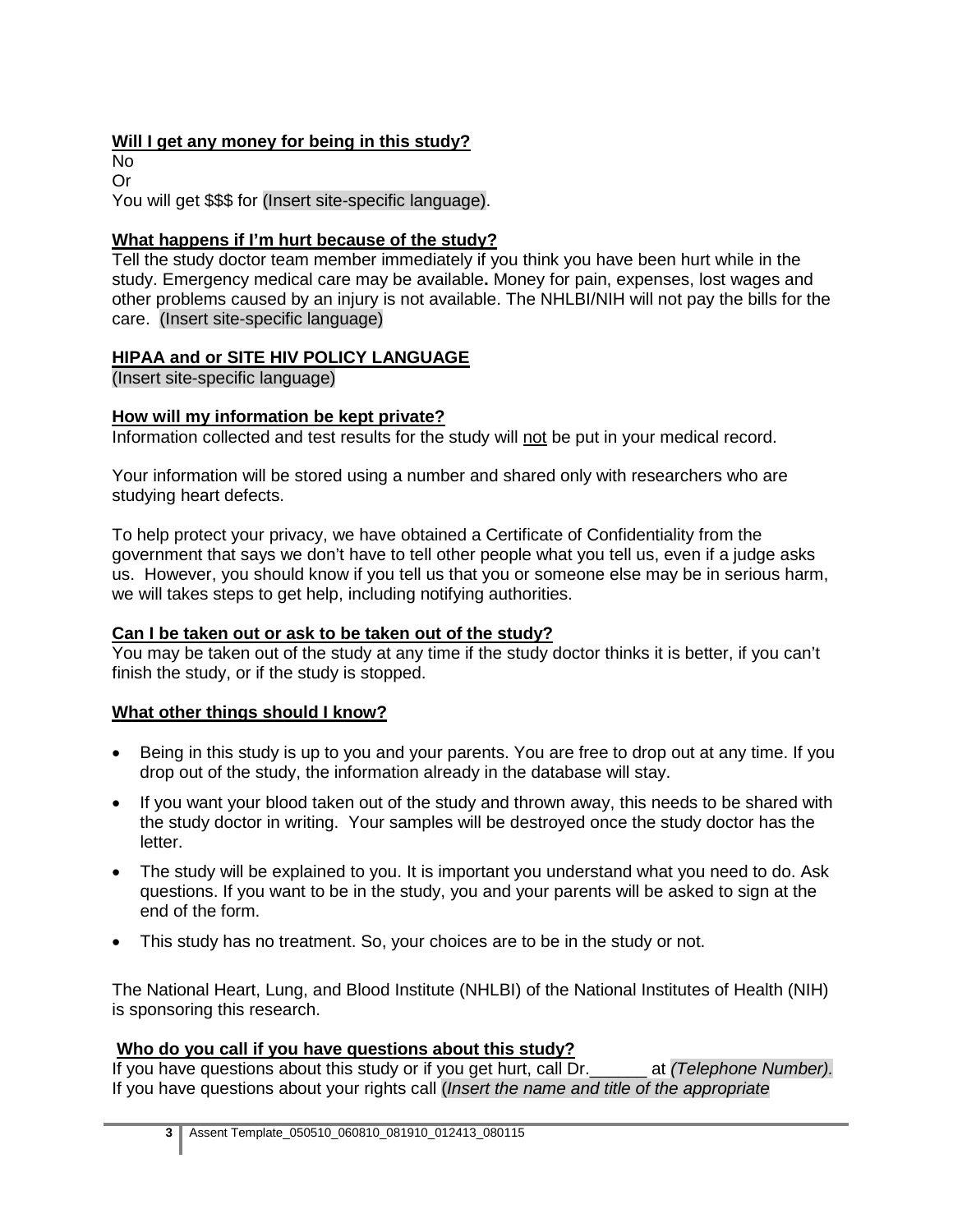# **Will I get any money for being in this study?**

No Or

You will get \$\$\$ for (Insert site-specific language).

## **What happens if I'm hurt because of the study?**

Tell the study doctor team member immediately if you think you have been hurt while in the study. Emergency medical care may be available**.** Money for pain, expenses, lost wages and other problems caused by an injury is not available. The NHLBI/NIH will not pay the bills for the care. (Insert site-specific language)

# **HIPAA and or SITE HIV POLICY LANGUAGE**

(Insert site-specific language)

## **How will my information be kept private?**

Information collected and test results for the study will not be put in your medical record.

Your information will be stored using a number and shared only with researchers who are studying heart defects.

To help protect your privacy, we have obtained a Certificate of Confidentiality from the government that says we don't have to tell other people what you tell us, even if a judge asks us. However, you should know if you tell us that you or someone else may be in serious harm, we will takes steps to get help, including notifying authorities.

## **Can I be taken out or ask to be taken out of the study?**

You may be taken out of the study at any time if the study doctor thinks it is better, if you can't finish the study, or if the study is stopped.

# **What other things should I know?**

- Being in this study is up to you and your parents. You are free to drop out at any time. If you drop out of the study, the information already in the database will stay.
- If you want your blood taken out of the study and thrown away, this needs to be shared with the study doctor in writing. Your samples will be destroyed once the study doctor has the letter.
- The study will be explained to you. It is important you understand what you need to do. Ask questions. If you want to be in the study, you and your parents will be asked to sign at the end of the form.
- This study has no treatment. So, your choices are to be in the study or not.

The National Heart, Lung, and Blood Institute (NHLBI) of the National Institutes of Health (NIH) is sponsoring this research.

# **Who do you call if you have questions about this study?**

If you have questions about this study or if you get hurt, call Dr.\_\_\_\_\_\_ at *(Telephone Number).*  If you have questions about your rights call (*Insert the name and title of the appropriate*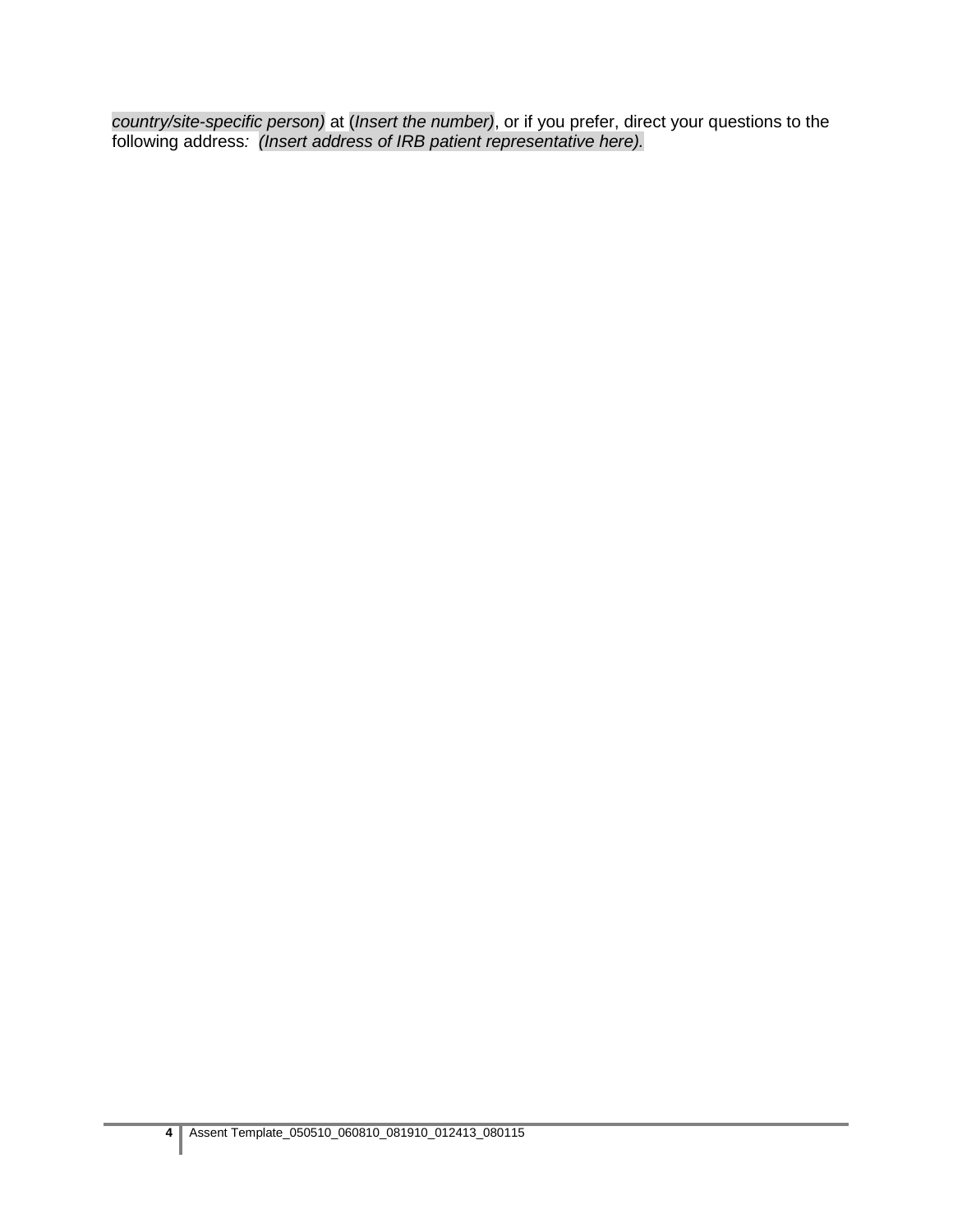*country/site-specific person)* at (*Insert the number)*, or if you prefer, direct your questions to the following address*: (Insert address of IRB patient representative here).*